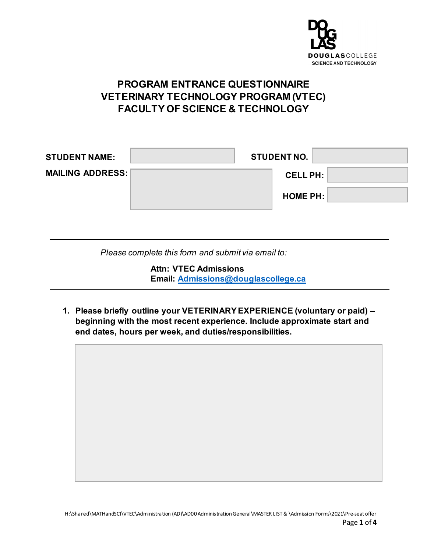

## **PROGRAM ENTRANCE QUESTIONNAIRE VETERINARY TECHNOLOGY PROGRAM (VTEC) FACULTY OF SCIENCE & TECHNOLOGY**

| <b>STUDENT NAME:</b>    | <b>STUDENT NO.</b> |                 |  |
|-------------------------|--------------------|-----------------|--|
| <b>MAILING ADDRESS:</b> |                    | <b>CELL PH:</b> |  |
|                         |                    | HOME PH:        |  |
|                         |                    |                 |  |

*Please complete this form and submit via email to:*

**Attn: VTEC Admissions Email: [Admissions@douglascollege.ca](mailto:Admissions@douglascollege.ca)**

**1. Please briefly outline your VETERINARY EXPERIENCE (voluntary or paid) – beginning with the most recent experience. Include approximate start and end dates, hours per week, and duties/responsibilities.**

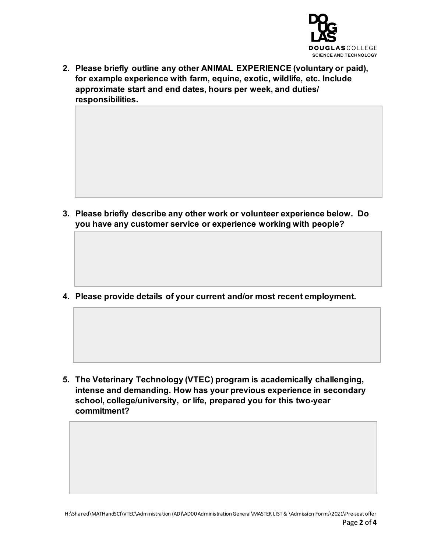

**2. Please briefly outline any other ANIMAL EXPERIENCE (voluntary or paid), for example experience with farm, equine, exotic, wildlife, etc. Include approximate start and end dates, hours per week, and duties/ responsibilities.**

**3. Please briefly describe any other work or volunteer experience below. Do you have any customer service or experience working with people?**

**4. Please provide details of your current and/or most recent employment.**

**5. The Veterinary Technology (VTEC) program is academically challenging, intense and demanding. How has your previous experience in secondary school, college/university, or life, prepared you for this two-year commitment?**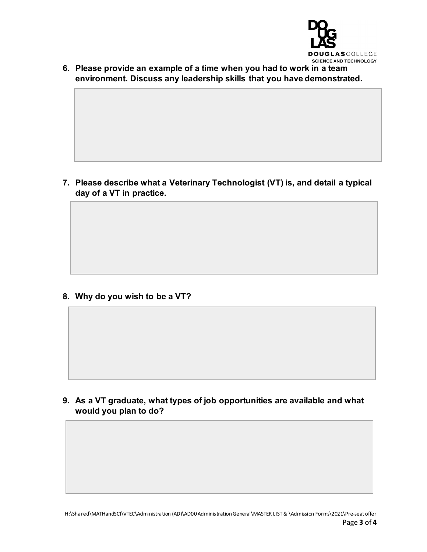

**6. Please provide an example of a time when you had to work in a team environment. Discuss any leadership skills that you have demonstrated.**

**7. Please describe what a Veterinary Technologist (VT) is, and detail a typical day of a VT in practice.**

**8. Why do you wish to be a VT?**

**9. As a VT graduate, what types of job opportunities are available and what would you plan to do?**